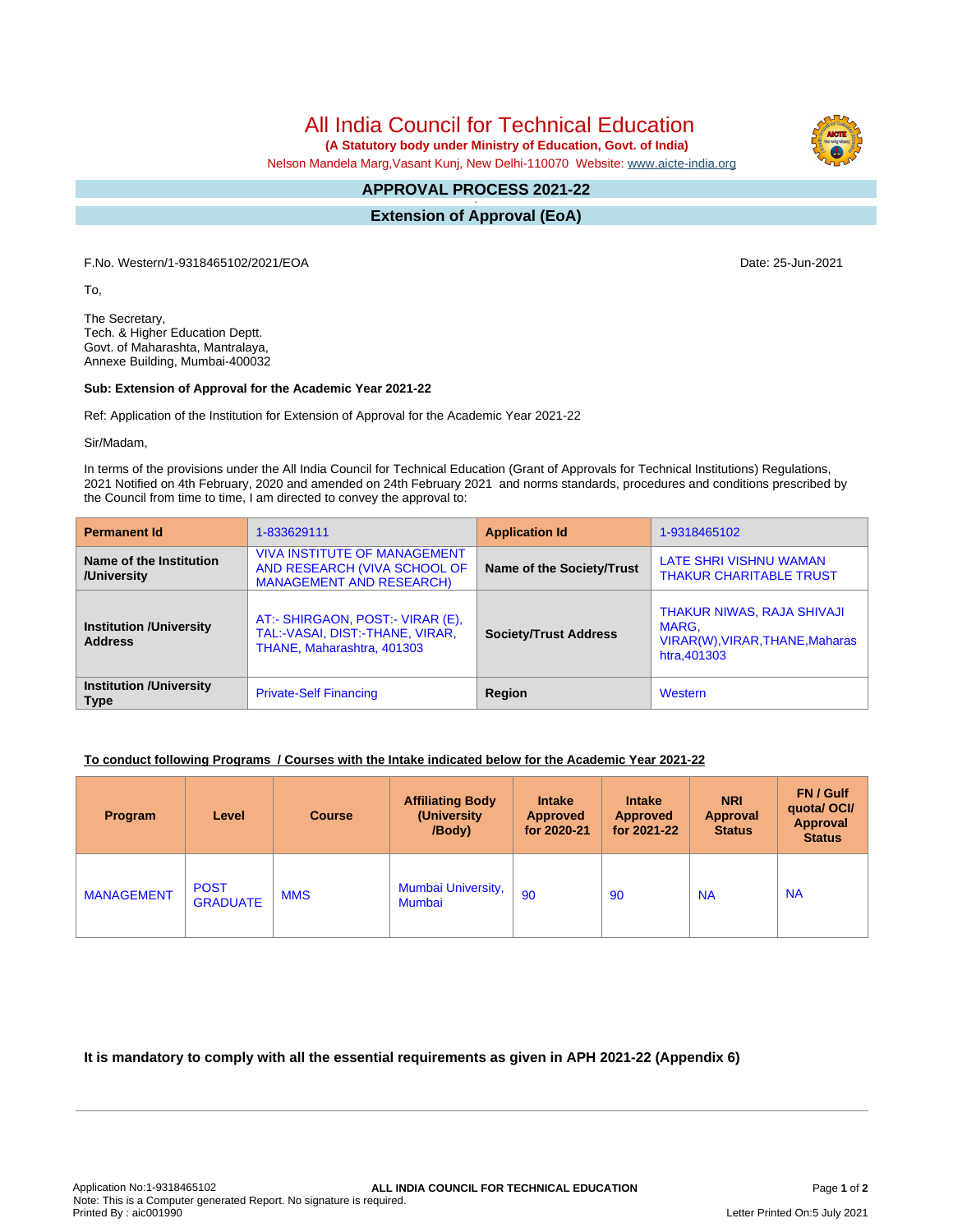All India Council for Technical Education

 **(A Statutory body under Ministry of Education, Govt. of India)**

Nelson Mandela Marg,Vasant Kunj, New Delhi-110070 Website: [www.aicte-india.org](http://www.aicte-india.org)

#### **APPROVAL PROCESS 2021-22 -**

**Extension of Approval (EoA)**

F.No. Western/1-9318465102/2021/EOA Date: 25-Jun-2021

To,

The Secretary, Tech. & Higher Education Deptt. Govt. of Maharashta, Mantralaya, Annexe Building, Mumbai-400032

### **Sub: Extension of Approval for the Academic Year 2021-22**

Ref: Application of the Institution for Extension of Approval for the Academic Year 2021-22

Sir/Madam,

In terms of the provisions under the All India Council for Technical Education (Grant of Approvals for Technical Institutions) Regulations, 2021 Notified on 4th February, 2020 and amended on 24th February 2021 and norms standards, procedures and conditions prescribed by the Council from time to time, I am directed to convey the approval to:

| <b>Permanent Id</b>                              | 1-833629111                                                                                            | <b>Application Id</b>        | 1-9318465102                                                                           |  |
|--------------------------------------------------|--------------------------------------------------------------------------------------------------------|------------------------------|----------------------------------------------------------------------------------------|--|
| Name of the Institution<br>/University           | <b>VIVA INSTITUTE OF MANAGEMENT</b><br>AND RESEARCH (VIVA SCHOOL OF<br><b>MANAGEMENT AND RESEARCH)</b> | Name of the Society/Trust    | LATE SHRI VISHNU WAMAN<br><b>THAKUR CHARITABLE TRUST</b>                               |  |
| <b>Institution /University</b><br><b>Address</b> | AT:- SHIRGAON, POST:- VIRAR (E),<br>TAL:-VASAI, DIST:-THANE, VIRAR,<br>THANE, Maharashtra, 401303      | <b>Society/Trust Address</b> | THAKUR NIWAS, RAJA SHIVAJI<br>MARG,<br>VIRAR(W), VIRAR, THANE, Maharas<br>htra, 401303 |  |
| <b>Institution /University</b><br><b>Type</b>    | <b>Private-Self Financing</b>                                                                          | Region                       | Western                                                                                |  |

# **To conduct following Programs / Courses with the Intake indicated below for the Academic Year 2021-22**

| Program           | Level                          | <b>Course</b> | <b>Affiliating Body</b><br>(University)<br>/Body) | <b>Intake</b><br><b>Approved</b><br>for 2020-21 | <b>Intake</b><br><b>Approved</b><br>for 2021-22 | <b>NRI</b><br><b>Approval</b><br><b>Status</b> | FN / Gulf<br>quotal OCI/<br>Approval<br><b>Status</b> |
|-------------------|--------------------------------|---------------|---------------------------------------------------|-------------------------------------------------|-------------------------------------------------|------------------------------------------------|-------------------------------------------------------|
| <b>MANAGEMENT</b> | <b>POST</b><br><b>GRADUATE</b> | <b>MMS</b>    | Mumbai University,<br>Mumbai                      | 90                                              | 90                                              | <b>NA</b>                                      | <b>NA</b>                                             |

**It is mandatory to comply with all the essential requirements as given in APH 2021-22 (Appendix 6)**